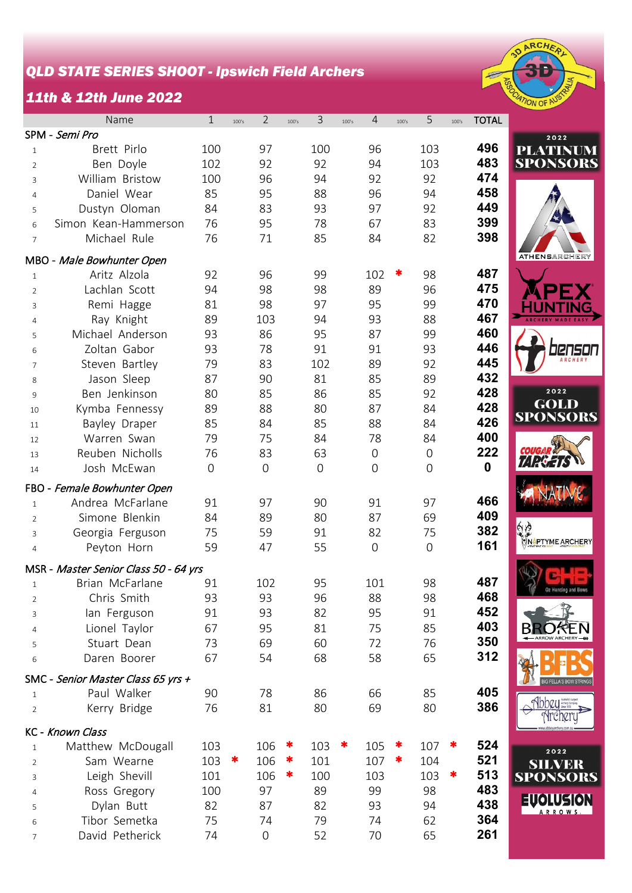## *QLD STATE SERIES SHOOT - Ipswich Field Archers*

## *11th & 12th June 2022*



|                | Name                                  | $\mathbf{1}$     | 100's | $\overline{2}$   | 100's | 3              | 100's | 4              | 100's | 5                   | 100's | <b>TOTAL</b> |                                |
|----------------|---------------------------------------|------------------|-------|------------------|-------|----------------|-------|----------------|-------|---------------------|-------|--------------|--------------------------------|
|                | SPM - Semi Pro                        |                  |       |                  |       |                |       |                |       |                     |       |              | 2022                           |
| $\mathbf{1}$   | Brett Pirlo                           | 100              |       | 97               |       | 100            |       | 96             |       | 103                 |       | 496          | <b>PLATINUM</b>                |
| 2              | Ben Doyle                             | 102              |       | 92               |       | 92             |       | 94             |       | 103                 |       | 483          | <b>SPONSORS</b>                |
| 3              | William Bristow                       | 100              |       | 96               |       | 94             |       | 92             |       | 92                  |       | 474          |                                |
| 4              | Daniel Wear                           | 85               |       | 95               |       | 88             |       | 96             |       | 94                  |       | 458          |                                |
| 5              | Dustyn Oloman                         | 84               |       | 83               |       | 93             |       | 97             |       | 92                  |       | 449          |                                |
| 6              | Simon Kean-Hammerson                  | 76               |       | 95               |       | 78             |       | 67             |       | 83                  |       | 399          |                                |
| $\overline{7}$ | Michael Rule                          | 76               |       | 71               |       | 85             |       | 84             |       | 82                  |       | 398          |                                |
|                |                                       |                  |       |                  |       |                |       |                |       |                     |       |              | <b>ATHENSARCHERY</b>           |
|                | MBO - Male Bowhunter Open             |                  |       |                  |       |                |       |                |       |                     |       |              |                                |
| $\mathbf{1}$   | Aritz Alzola                          | 92               |       | 96               |       | 99             |       | 102            |       | 98                  |       | 487          |                                |
| $\overline{2}$ | Lachlan Scott                         | 94               |       | 98               |       | 98             |       | 89             |       | 96                  |       | 475          |                                |
| $\mathsf{3}$   | Remi Hagge                            | 81               |       | 98               |       | 97             |       | 95             |       | 99                  |       | 470          |                                |
| $\overline{4}$ | Ray Knight                            | 89               |       | 103              |       | 94             |       | 93             |       | 88                  |       | 467          |                                |
| 5              | Michael Anderson                      | 93               |       | 86               |       | 95             |       | 87             |       | 99                  |       | 460          |                                |
| 6              | Zoltan Gabor                          | 93               |       | 78               |       | 91             |       | 91             |       | 93                  |       | 446          |                                |
| $\overline{7}$ | Steven Bartley                        | 79               |       | 83               |       | 102            |       | 89             |       | 92                  |       | 445          |                                |
| 8              | Jason Sleep                           | 87               |       | 90               |       | 81             |       | 85             |       | 89                  |       | 432          |                                |
| 9              | Ben Jenkinson                         | 80               |       | 85               |       | 86             |       | 85             |       | 92                  |       | 428          | 2022                           |
| 10             | Kymba Fennessy                        | 89               |       | 88               |       | 80             |       | 87             |       | 84                  |       | 428          | <b>GOLD</b><br><b>SPONSORS</b> |
| 11             | Bayley Draper                         | 85               |       | 84               |       | 85             |       | 88             |       | 84                  |       | 426          |                                |
| 12             | Warren Swan                           | 79               |       | 75               |       | 84             |       | 78             |       | 84                  |       | 400          |                                |
| 13             | Reuben Nicholls                       | 76               |       | 83               |       | 63             |       | $\overline{0}$ |       | 0                   |       | 222          |                                |
| 14             | Josh McEwan                           | $\boldsymbol{0}$ |       | $\overline{0}$   |       | $\overline{0}$ |       | $\overline{0}$ |       | $\mathsf{O}\xspace$ |       | $\mathbf 0$  |                                |
|                | FBO - Female Bowhunter Open           |                  |       |                  |       |                |       |                |       |                     |       |              |                                |
| $\mathbf{1}$   | Andrea McFarlane                      | 91               |       | 97               |       | 90             |       | 91             |       | 97                  |       | 466          |                                |
| $\overline{2}$ | Simone Blenkin                        | 84               |       | 89               |       | 80             |       | 87             |       | 69                  |       | 409          |                                |
| 3              | Georgia Ferguson                      | 75               |       | 59               |       | 91             |       | 82             |       | 75                  |       | 382          | ÍÇ                             |
| $\overline{4}$ | Peyton Horn                           | 59               |       | 47               |       | 55             |       | $\overline{0}$ |       | $\mathbf 0$         |       | 161          | <b>NAPTYME ARCHERY</b>         |
|                |                                       |                  |       |                  |       |                |       |                |       |                     |       |              |                                |
|                | MSR - Master Senior Class 50 - 64 yrs |                  |       |                  |       |                |       |                |       |                     |       |              |                                |
| $\mathbf{1}$   | Brian McFarlane                       | 91               |       | 102              |       | 95             |       | 101            |       | 98                  |       | 487          |                                |
| 2              | Chris Smith                           | 93               |       | 93               |       | 96             |       | 88             |       | 98                  |       | 468          |                                |
| 3              | lan Ferguson                          | 91               |       | 93               |       | 82             |       | 95             |       | 91                  |       | 452          |                                |
| 4              | Lionel Taylor                         | 67               |       | 95               |       | 81             |       | 75             |       | 85                  |       | 403          | - ARROW ARCHERY                |
| 5              | Stuart Dean                           | 73               |       | 69               |       | 60             |       | 72             |       | 76                  |       | 350          |                                |
| 6              | Daren Boorer                          | 67               |       | 54               |       | 68             |       | 58             |       | 65                  |       | 312          |                                |
|                | SMC - Senior Master Class 65 yrs +    |                  |       |                  |       |                |       |                |       |                     |       |              | IG FELLA'S BOW ST              |
| 1              | Paul Walker                           | 90               |       | 78               |       | 86             |       | 66             |       | 85                  |       | 405          |                                |
| $\overline{2}$ | Kerry Bridge                          | 76               |       | 81               |       | 80             |       | 69             |       | 80                  |       | 386          |                                |
|                | KC - Known Class                      |                  |       |                  |       |                |       |                |       |                     |       |              |                                |
| $\mathbf{1}$   | Matthew McDougall                     | 103              |       | 106              | ×     | 103            | ∗     | 105            | ∗     | 107                 | ∗     | 524          | 2022                           |
| 2              | Sam Wearne                            | 103              | ∗     | 106              | ∗     | 101            |       | 107            | ∗     | 104                 |       | 521          | <b>SILVER</b>                  |
| 3              | Leigh Shevill                         | 101              |       | 106              | ∗     | 100            |       | 103            |       | 103                 | ∗     | 513          | <b>SPONSORS</b>                |
| 4              | Ross Gregory                          | 100              |       | 97               |       | 89             |       | 99             |       | 98                  |       | 483          |                                |
| 5              | Dylan Butt                            | 82               |       | 87               |       | 82             |       | 93             |       | 94                  |       | 438          | EUOLUSION<br><b>ARROWS</b>     |
| 6              | Tibor Semetka                         | 75               |       | 74               |       | 79             |       | 74             |       | 62                  |       | 364          |                                |
| 7              | David Petherick                       | 74               |       | $\boldsymbol{0}$ |       | 52             |       | 70             |       | 65                  |       | 261          |                                |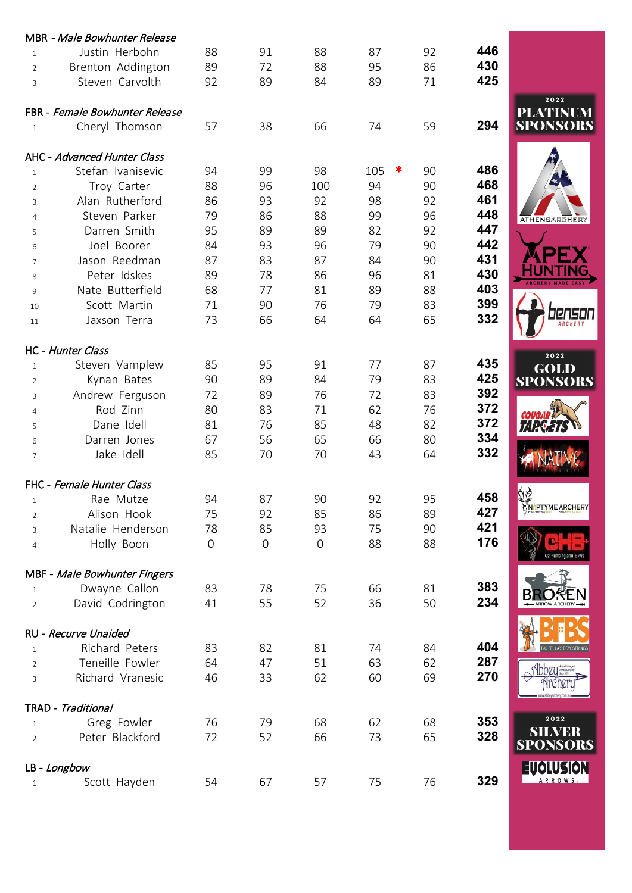|                | MBR - Male Bowhunter Release           |             |                |                |          |    |     |                         |
|----------------|----------------------------------------|-------------|----------------|----------------|----------|----|-----|-------------------------|
| $\mathbf{1}$   | Justin Herbohn                         | 88          | 91             | 88             | 87       | 92 | 446 |                         |
| $\overline{2}$ | Brenton Addington                      | 89          | 72             | 88             | 95       | 86 | 430 |                         |
| 3              | Steven Carvolth                        | 92          | 89             | 84             | 89       | 71 | 425 |                         |
|                | FBR - Female Bowhunter Release         |             |                |                |          |    |     | 2022<br>PLATINUM        |
| $\mathbf{1}$   | Cheryl Thomson                         | 57          | 38             | 66             | 74       | 59 | 294 | <b>SPONSORS</b>         |
|                | AHC - Advanced Hunter Class            |             |                |                |          |    |     |                         |
| $\mathbf{1}$   | Stefan Ivanisevic                      | 94          | 99             | 98             | 105<br>∗ | 90 | 486 |                         |
| $\overline{2}$ | Troy Carter                            | 88          | 96             | 100            | 94       | 90 | 468 |                         |
| 3              | Alan Rutherford                        | 86          | 93             | 92             | 98       | 92 | 461 |                         |
| 4              | Steven Parker                          | 79          | 86             | 88             | 99       | 96 | 448 | <b>ATHENSARCHERY</b>    |
| 5              | Darren Smith                           | 95          | 89             | 89             | 82       | 92 | 447 |                         |
| 6              | Joel Boorer                            | 84          | 93             | 96             | 79       | 90 | 442 |                         |
| $\overline{7}$ | Jason Reedman                          | 87          | 83             | 87             | 84       | 90 | 431 |                         |
| 8              | Peter Idskes                           | 89          | 78             | 86             | 96       | 81 | 430 |                         |
| 9              | Nate Butterfield                       | 68          | 77             | 81             | 89       | 88 | 403 |                         |
| 10             | Scott Martin                           | 71          | 90             | 76             | 79       | 83 | 399 |                         |
| 11             | Jaxson Terra                           | 73          | 66             | 64             | 64       | 65 | 332 |                         |
|                | HC - Hunter Class                      |             |                |                |          |    |     |                         |
| $\mathbf{1}$   | Steven Vamplew                         | 85          | 95             | 91             | 77       | 87 | 435 | 2022<br><b>GOLD</b>     |
| 2              | Kynan Bates                            | 90          | 89             | 84             | 79       | 83 | 425 | <b>SPONSORS</b>         |
| 3              | Andrew Ferguson                        | 72          | 89             | 76             | 72       | 83 | 392 |                         |
| 4              | Rod Zinn                               | 80          | 83             | 71             | 62       | 76 | 372 |                         |
| 5              | Dane Idell                             | 81          | 76             | 85             | 48       | 82 | 372 |                         |
| 6              | Darren Jones                           | 67          | 56             | 65             | 66       | 80 | 334 |                         |
| $\overline{7}$ | Jake Idell                             | 85          | 70             | 70             | 43       | 64 | 332 |                         |
|                | FHC - Female Hunter Class              |             |                |                |          |    |     |                         |
| $\mathbf{1}$   | Rae Mutze                              | 94          | 87             | 90             | 92       | 95 | 458 |                         |
| $\overline{2}$ | Alison Hook                            | 75          | 92             | 85             | 86       | 89 | 427 | NetTYME ARCHERY         |
| 3              | Natalie Henderson                      | 78          | 85             | 93             | 75       | 90 | 421 |                         |
| 4              | Holly Boon                             | $\mathbf 0$ | $\overline{0}$ | $\overline{0}$ | 88       | 88 | 176 |                         |
|                | MBF - Male Bowhunter Fingers           |             |                |                |          |    |     |                         |
| $\mathbf{1}$   | Dwayne Callon                          | 83          | 78             | 75             | 66       | 81 | 383 |                         |
| $\overline{2}$ | David Codrington                       | 41          | 55             | 52             | 36       | 50 | 234 |                         |
|                |                                        |             |                |                |          |    |     |                         |
|                | RU - Recurve Unaided<br>Richard Peters | 83          | 82             | 81             | 74       | 84 | 404 | <b>G FELLA'S BOW ST</b> |
| $\mathbf{1}$   |                                        |             |                |                |          |    | 287 |                         |
| $\overline{2}$ | Teneille Fowler                        | 64          | 47             | 51<br>62       | 63       | 62 | 270 |                         |
| 3              | Richard Vranesic                       | 46          | 33             |                | 60       | 69 |     |                         |
|                | TRAD - Traditional                     |             |                |                |          |    |     | 2022                    |
| $\mathbf{1}$   | Greg Fowler                            | 76          | 79             | 68             | 62       | 68 | 353 | <b>SILVER</b>           |
| $\overline{2}$ | Peter Blackford                        | 72          | 52             | 66             | 73       | 65 | 328 | <b>SPONSORS</b>         |
|                | LB - Longbow                           |             |                |                |          |    |     | EUOLUSION               |
| 1              | Scott Hayden                           | 54          | 67             | 57             | 75       | 76 | 329 | <b>ARROWS</b>           |